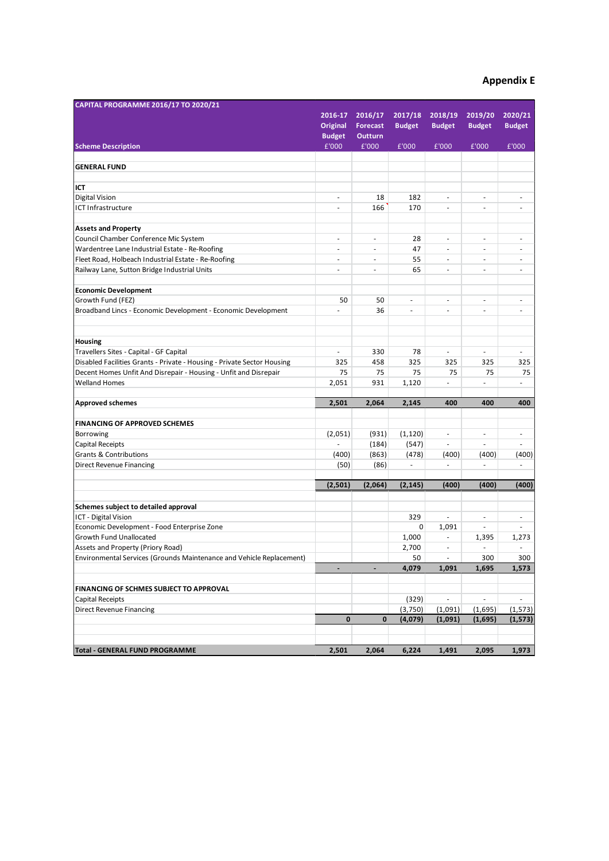## **Appendix E**

| CAPITAL PROGRAMME 2016/17 TO 2020/21                                    |                              |                 |                          |                          |                          |                          |
|-------------------------------------------------------------------------|------------------------------|-----------------|--------------------------|--------------------------|--------------------------|--------------------------|
|                                                                         | 2016-17                      | 2016/17         | 2017/18                  | 2018/19                  | 2019/20                  | 2020/21                  |
|                                                                         | <b>Original</b>              | <b>Forecast</b> | <b>Budget</b>            | <b>Budget</b>            | <b>Budget</b>            | <b>Budget</b>            |
|                                                                         | <b>Budget</b>                | <b>Outturn</b>  |                          |                          |                          |                          |
| <b>Scheme Description</b>                                               | £'000                        | £'000           | £'000                    | £'000                    | £'000                    | £'000                    |
|                                                                         |                              |                 |                          |                          |                          |                          |
| <b>GENERAL FUND</b>                                                     |                              |                 |                          |                          |                          |                          |
| ICT                                                                     |                              |                 |                          |                          |                          |                          |
| <b>Digital Vision</b>                                                   | ÷.                           | 18              | 182                      | ÷,                       | ä,                       | ÷,                       |
| <b>ICT Infrastructure</b>                                               | $\bar{a}$                    | 166             | 170                      | ÷,                       | ä,                       | ÷.                       |
| <b>Assets and Property</b>                                              |                              |                 |                          |                          |                          |                          |
| Council Chamber Conference Mic System                                   | ÷.                           | ä,              | 28                       | ÷,                       | $\overline{a}$           | $\overline{\phantom{a}}$ |
| Wardentree Lane Industrial Estate - Re-Roofing                          | ÷.                           | ٠               | 47                       | ä,                       | ä,                       | $\sim$                   |
| Fleet Road, Holbeach Industrial Estate - Re-Roofing                     | ÷.                           | ÷,              | 55                       | ÷,                       | ä,                       | $\sim$                   |
| Railway Lane, Sutton Bridge Industrial Units                            | $\sim$                       | ٠               | 65                       | ÷,                       | ÷,                       | $\sim$                   |
|                                                                         |                              |                 |                          |                          |                          |                          |
| <b>Economic Development</b>                                             |                              |                 |                          |                          |                          |                          |
| Growth Fund (FEZ)                                                       | 50                           | 50              | $\overline{\phantom{a}}$ | $\overline{\phantom{a}}$ | $\overline{\phantom{a}}$ | $\overline{\phantom{a}}$ |
| Broadband Lincs - Economic Development - Economic Development           | ä,                           | 36              | $\bar{a}$                | ä,                       | ä,                       | ÷,                       |
| <b>Housing</b>                                                          |                              |                 |                          |                          |                          |                          |
| Travellers Sites - Capital - GF Capital                                 | $\omega$                     | 330             | 78                       | ä,                       | ÷.                       | $\omega$                 |
| Disabled Facilities Grants - Private - Housing - Private Sector Housing | 325                          | 458             | 325                      | 325                      | 325                      | 325                      |
| Decent Homes Unfit And Disrepair - Housing - Unfit and Disrepair        | 75                           | 75              | 75                       | 75                       | 75                       | 75                       |
| <b>Welland Homes</b>                                                    | 2,051                        | 931             | 1,120                    | ÷,                       | ä,                       | ÷.                       |
|                                                                         |                              |                 |                          |                          |                          |                          |
| <b>Approved schemes</b>                                                 | 2,501                        | 2,064           | 2,145                    | 400                      | 400                      | 400                      |
| <b>FINANCING OF APPROVED SCHEMES</b>                                    |                              |                 |                          |                          |                          |                          |
| Borrowing                                                               | (2,051)                      | (931)           | (1, 120)                 | ÷,                       | $\overline{\phantom{a}}$ | $\overline{\phantom{a}}$ |
| Capital Receipts                                                        |                              | (184)           | (547)                    | ÷,                       | ÷,                       | $\overline{\phantom{a}}$ |
| <b>Grants &amp; Contributions</b>                                       | (400)                        | (863)           | (478)                    | (400)                    | (400)                    | (400)                    |
| Direct Revenue Financing                                                | (50)                         | (86)            | $\sim$                   | ÷,                       | ÷,                       | $\overline{\phantom{a}}$ |
|                                                                         | (2,501)                      | (2,064)         | (2, 145)                 | (400)                    | (400)                    | (400)                    |
|                                                                         |                              |                 |                          |                          |                          |                          |
| Schemes subject to detailed approval                                    |                              |                 |                          |                          |                          |                          |
| ICT - Digital Vision                                                    |                              |                 | 329                      | ÷,                       | ÷,                       | ٠                        |
| Economic Development - Food Enterprise Zone                             |                              |                 | $\mathbf 0$              | 1,091                    | ÷,                       | $\overline{a}$           |
| Growth Fund Unallocated                                                 |                              |                 | 1,000                    | ä,                       | 1,395<br>ä,              | 1,273                    |
| Assets and Property (Priory Road)                                       |                              |                 | 2,700                    | ÷,                       |                          | ٠                        |
| Environmental Services (Grounds Maintenance and Vehicle Replacement)    |                              |                 | 50<br>4,079              | 1,091                    | 300<br>1,695             | 300<br>1,573             |
|                                                                         | $\qquad \qquad \blacksquare$ |                 |                          |                          |                          |                          |
| FINANCING OF SCHMES SUBJECT TO APPROVAL                                 |                              |                 |                          |                          |                          |                          |
| Capital Receipts                                                        |                              |                 | (329)                    | $\blacksquare$           | $\overline{\phantom{a}}$ | $\overline{\phantom{a}}$ |
| Direct Revenue Financing                                                |                              |                 | (3,750)                  | (1,091)                  | (1,695)                  | (1, 573)                 |
|                                                                         | $\pmb{0}$                    | 0               | (4,079)                  | (1,091)                  | (1,695)                  | (1, 573)                 |
|                                                                         |                              |                 |                          |                          |                          |                          |
| <b>Total - GENERAL FUND PROGRAMME</b>                                   | 2,501                        | 2,064           | 6,224                    | 1,491                    | 2,095                    | 1,973                    |